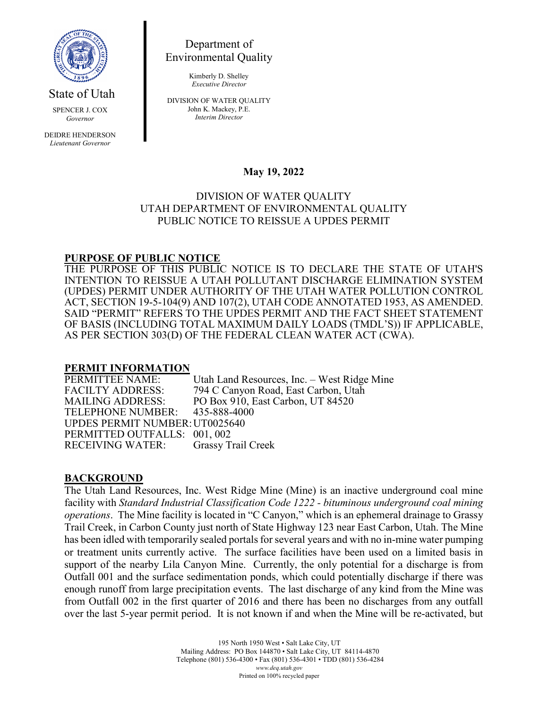

State of Utah

SPENCER J. COX *Governor*

DEIDRE HENDERSON *Lieutenant Governor*

Department of Environmental Quality

> Kimberly D. Shelley *Executive Director*

DIVISION OF WATER QUALITY John K. Mackey, P.E. *Interim Director*

## **May 19, 2022**

### DIVISION OF WATER QUALITY UTAH DEPARTMENT OF ENVIRONMENTAL QUALITY PUBLIC NOTICE TO REISSUE A UPDES PERMIT

## **PURPOSE OF PUBLIC NOTICE**

THE PURPOSE OF THIS PUBLIC NOTICE IS TO DECLARE THE STATE OF UTAH'S INTENTION TO REISSUE A UTAH POLLUTANT DISCHARGE ELIMINATION SYSTEM (UPDES) PERMIT UNDER AUTHORITY OF THE UTAH WATER POLLUTION CONTROL ACT, SECTION 19-5-104(9) AND 107(2), UTAH CODE ANNOTATED 1953, AS AMENDED. SAID "PERMIT" REFERS TO THE UPDES PERMIT AND THE FACT SHEET STATEMENT OF BASIS (INCLUDING TOTAL MAXIMUM DAILY LOADS (TMDL'S)) IF APPLICABLE, AS PER SECTION 303(D) OF THE FEDERAL CLEAN WATER ACT (CWA).

# **PERMIT INFORMATION**

Utah Land Resources, Inc. – West Ridge Mine FACILTY ADDRESS: 794 C Canyon Road, East Carbon, Utah MAILING ADDRESS: PO Box 910, East Carbon, UT 84520<br>TELEPHONE NUMBER: 435-888-4000 TELEPHONE NUMBER: UPDES PERMIT NUMBER:UT0025640 PERMITTED OUTFALLS: 001, 002 RECEIVING WATER: Grassy Trail Creek

#### **BACKGROUND**

The Utah Land Resources, Inc. West Ridge Mine (Mine) is an inactive underground coal mine facility with *Standard Industrial Classification Code 1222 - bituminous underground coal mining operations*. The Mine facility is located in "C Canyon," which is an ephemeral drainage to Grassy Trail Creek, in Carbon County just north of State Highway 123 near East Carbon, Utah. The Mine has been idled with temporarily sealed portals for several years and with no in-mine water pumping or treatment units currently active. The surface facilities have been used on a limited basis in support of the nearby Lila Canyon Mine. Currently, the only potential for a discharge is from Outfall 001 and the surface sedimentation ponds, which could potentially discharge if there was enough runoff from large precipitation events. The last discharge of any kind from the Mine was from Outfall 002 in the first quarter of 2016 and there has been no discharges from any outfall over the last 5-year permit period. It is not known if and when the Mine will be re-activated, but

> 195 North 1950 West • Salt Lake City, UT Mailing Address: PO Box 144870 • Salt Lake City, UT 84114-4870 Telephone (801) 536-4300 • Fax (801) 536-4301 • TDD (801) 536-4284 *www.deq.utah.gov* Printed on 100% recycled paper